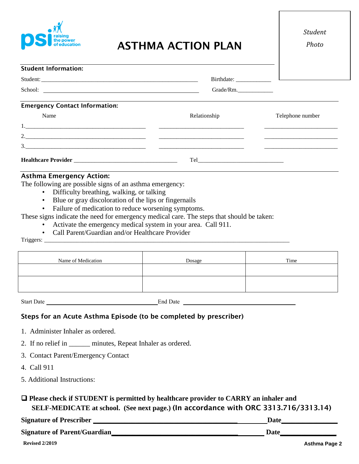

# ASTHMA ACTION PLAN

*Photo*

| <b>Student Information:</b>                                                                                                                                                                                                          |              |                  |
|--------------------------------------------------------------------------------------------------------------------------------------------------------------------------------------------------------------------------------------|--------------|------------------|
|                                                                                                                                                                                                                                      |              |                  |
| School: <u>and a second contract of the second contract of the second contract of the second contract of the second contract of the second contract of the second contract of the second contract of the second contract of the </u> | Grade/Rm.    |                  |
| <b>Emergency Contact Information:</b>                                                                                                                                                                                                |              |                  |
| Name                                                                                                                                                                                                                                 | Relationship | Telephone number |
|                                                                                                                                                                                                                                      |              |                  |
|                                                                                                                                                                                                                                      |              |                  |
|                                                                                                                                                                                                                                      |              |                  |
|                                                                                                                                                                                                                                      |              |                  |

#### Asthma Emergency Action:

The following are possible signs of an asthma emergency:

- Difficulty breathing, walking, or talking
- Blue or gray discoloration of the lips or fingernails
- Failure of medication to reduce worsening symptoms.

These signs indicate the need for emergency medical care. The steps that should be taken:

- Activate the emergency medical system in your area. Call 911.
- Call Parent/Guardian and/or Healthcare Provider

Triggers: \_\_\_\_\_\_\_\_\_\_\_\_\_\_\_\_\_\_\_\_\_\_\_\_\_\_\_\_\_\_\_\_\_\_\_\_\_\_\_\_\_\_\_\_\_\_\_\_\_\_\_\_\_\_\_\_\_\_\_\_\_\_\_\_\_\_\_\_\_\_\_\_\_\_\_\_\_\_\_\_\_\_\_

| Name of Medication | Dosage | Time |
|--------------------|--------|------|
|                    |        |      |
|                    |        |      |

Start Date End Date

#### Steps for an Acute Asthma Episode (to be completed by prescriber)

- 1. Administer Inhaler as ordered.
- 2. If no relief in \_\_\_\_\_\_ minutes, Repeat Inhaler as ordered.
- 3. Contact Parent/Emergency Contact
- 4. Call 911
- 5. Additional Instructions:

### ❑ **Please check if STUDENT is permitted by healthcare provider to CARRY an inhaler and SELF-MEDICATE at school. (See next page.)** (In accordance with ORC 3313.716/3313.14)

| <b>Signature of Prescriber</b>       | Date |
|--------------------------------------|------|
| <b>Signature of Parent/Guardian_</b> | Date |